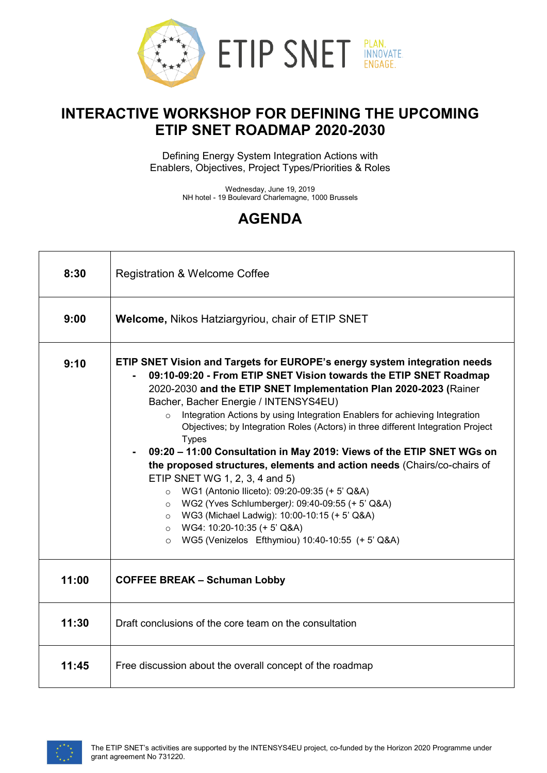

## **INTERACTIVE WORKSHOP FOR DEFINING THE UPCOMING ETIP SNET ROADMAP 2020-2030**

Defining Energy System Integration Actions with Enablers, Objectives, Project Types/Priorities & Roles

> Wednesday, June 19, 2019 NH hotel - 19 Boulevard Charlemagne, 1000 Brussels

## **AGENDA**

| 8:30  | <b>Registration &amp; Welcome Coffee</b>                                                                                                                                                                                                                                                                                                                                                                                                                                                                                                                                                                                                                                                                                                                                                                                                                                                                                |  |
|-------|-------------------------------------------------------------------------------------------------------------------------------------------------------------------------------------------------------------------------------------------------------------------------------------------------------------------------------------------------------------------------------------------------------------------------------------------------------------------------------------------------------------------------------------------------------------------------------------------------------------------------------------------------------------------------------------------------------------------------------------------------------------------------------------------------------------------------------------------------------------------------------------------------------------------------|--|
| 9:00  | <b>Welcome, Nikos Hatziargyriou, chair of ETIP SNET</b>                                                                                                                                                                                                                                                                                                                                                                                                                                                                                                                                                                                                                                                                                                                                                                                                                                                                 |  |
| 9:10  | ETIP SNET Vision and Targets for EUROPE's energy system integration needs<br>09:10-09:20 - From ETIP SNET Vision towards the ETIP SNET Roadmap<br>2020-2030 and the ETIP SNET Implementation Plan 2020-2023 (Rainer<br>Bacher, Bacher Energie / INTENSYS4EU)<br>Integration Actions by using Integration Enablers for achieving Integration<br>$\circ$<br>Objectives; by Integration Roles (Actors) in three different Integration Project<br><b>Types</b><br>09:20 - 11:00 Consultation in May 2019: Views of the ETIP SNET WGs on<br>the proposed structures, elements and action needs (Chairs/co-chairs of<br>ETIP SNET WG 1, 2, 3, 4 and 5)<br>WG1 (Antonio Iliceto): 09:20-09:35 (+ 5' Q&A)<br>WG2 (Yves Schlumberger): 09:40-09:55 (+ 5' Q&A)<br>$\circ$<br>O WG3 (Michael Ladwig): 10:00-10:15 (+ 5' Q&A)<br>$\circ$ WG4: 10:20-10:35 (+ 5' Q&A)<br>WG5 (Venizelos Efthymiou) 10:40-10:55 (+ 5' Q&A)<br>$\circ$ |  |
| 11:00 | <b>COFFEE BREAK - Schuman Lobby</b>                                                                                                                                                                                                                                                                                                                                                                                                                                                                                                                                                                                                                                                                                                                                                                                                                                                                                     |  |
| 11:30 | Draft conclusions of the core team on the consultation                                                                                                                                                                                                                                                                                                                                                                                                                                                                                                                                                                                                                                                                                                                                                                                                                                                                  |  |
| 11:45 | Free discussion about the overall concept of the roadmap                                                                                                                                                                                                                                                                                                                                                                                                                                                                                                                                                                                                                                                                                                                                                                                                                                                                |  |